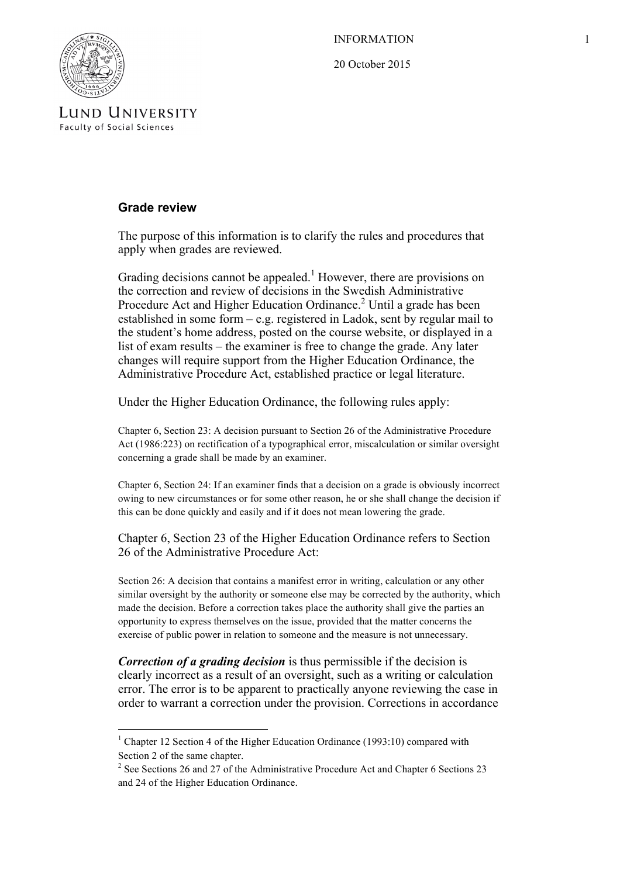INFORMATION 1

20 October 2015



LUND UNIVERSITY **Faculty of Social Sciences** 

## **Grade review**

The purpose of this information is to clarify the rules and procedures that apply when grades are reviewed.

Grading decisions cannot be appealed.<sup>1</sup> However, there are provisions on the correction and review of decisions in the Swedish Administrative Procedure Act and Higher Education Ordinance.<sup>2</sup> Until a grade has been established in some form – e.g. registered in Ladok, sent by regular mail to the student's home address, posted on the course website, or displayed in a list of exam results – the examiner is free to change the grade. Any later changes will require support from the Higher Education Ordinance, the Administrative Procedure Act, established practice or legal literature.

Under the Higher Education Ordinance, the following rules apply:

Chapter 6, Section 23: A decision pursuant to Section 26 of the Administrative Procedure Act (1986:223) on rectification of a typographical error, miscalculation or similar oversight concerning a grade shall be made by an examiner.

Chapter 6, Section 24: If an examiner finds that a decision on a grade is obviously incorrect owing to new circumstances or for some other reason, he or she shall change the decision if this can be done quickly and easily and if it does not mean lowering the grade.

Chapter 6, Section 23 of the Higher Education Ordinance refers to Section 26 of the Administrative Procedure Act:

Section 26: A decision that contains a manifest error in writing, calculation or any other similar oversight by the authority or someone else may be corrected by the authority, which made the decision. Before a correction takes place the authority shall give the parties an opportunity to express themselves on the issue, provided that the matter concerns the exercise of public power in relation to someone and the measure is not unnecessary.

*Correction of a grading decision* is thus permissible if the decision is clearly incorrect as a result of an oversight, such as a writing or calculation error. The error is to be apparent to practically anyone reviewing the case in order to warrant a correction under the provision. Corrections in accordance

<u> 1989 - Johann Stein, marwolaethau a bh</u>

 $1$  Chapter 12 Section 4 of the Higher Education Ordinance (1993:10) compared with Section 2 of the same chapter.

<sup>&</sup>lt;sup>2</sup> See Sections 26 and 27 of the Administrative Procedure Act and Chapter 6 Sections 23 and 24 of the Higher Education Ordinance.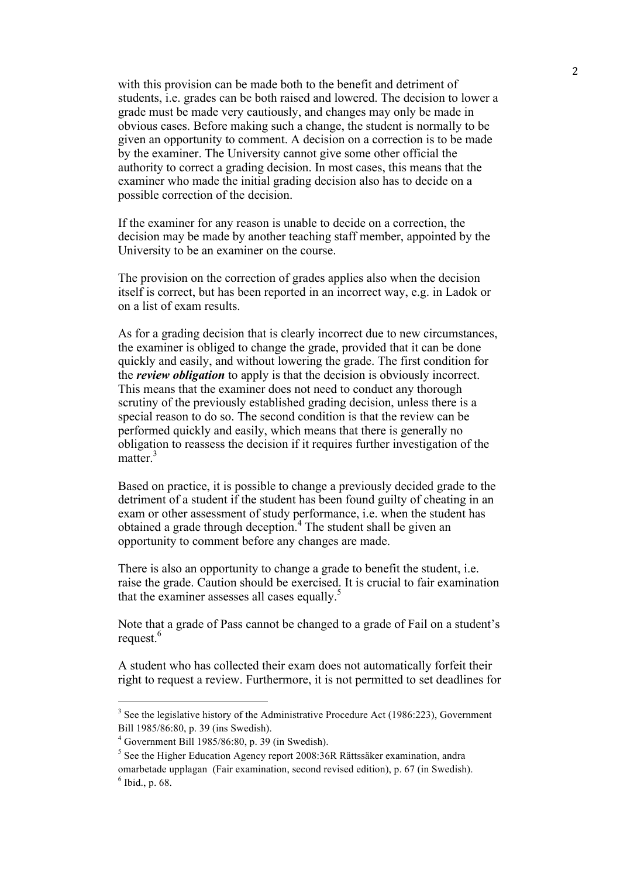with this provision can be made both to the benefit and detriment of students, i.e. grades can be both raised and lowered. The decision to lower a grade must be made very cautiously, and changes may only be made in obvious cases. Before making such a change, the student is normally to be given an opportunity to comment. A decision on a correction is to be made by the examiner. The University cannot give some other official the authority to correct a grading decision. In most cases, this means that the examiner who made the initial grading decision also has to decide on a possible correction of the decision.

If the examiner for any reason is unable to decide on a correction, the decision may be made by another teaching staff member, appointed by the University to be an examiner on the course.

The provision on the correction of grades applies also when the decision itself is correct, but has been reported in an incorrect way, e.g. in Ladok or on a list of exam results.

As for a grading decision that is clearly incorrect due to new circumstances, the examiner is obliged to change the grade, provided that it can be done quickly and easily, and without lowering the grade. The first condition for the *review obligation* to apply is that the decision is obviously incorrect. This means that the examiner does not need to conduct any thorough scrutiny of the previously established grading decision, unless there is a special reason to do so. The second condition is that the review can be performed quickly and easily, which means that there is generally no obligation to reassess the decision if it requires further investigation of the matter $\frac{3}{3}$ 

Based on practice, it is possible to change a previously decided grade to the detriment of a student if the student has been found guilty of cheating in an exam or other assessment of study performance, i.e. when the student has obtained a grade through deception. <sup>4</sup> The student shall be given an opportunity to comment before any changes are made.

There is also an opportunity to change a grade to benefit the student, i.e. raise the grade. Caution should be exercised. It is crucial to fair examination that the examiner assesses all cases equally. $5$ 

Note that a grade of Pass cannot be changed to a grade of Fail on a student's request.<sup>6</sup>

A student who has collected their exam does not automatically forfeit their right to request a review. Furthermore, it is not permitted to set deadlines for

 

 $3$  See the legislative history of the Administrative Procedure Act (1986:223), Government Bill 1985/86:80, p. 39 (ins Swedish). 4 Government Bill 1985/86:80, p. 39 (in Swedish).

<sup>&</sup>lt;sup>5</sup> See the Higher Education Agency report 2008:36R Rättssäker examination, andra omarbetade upplagan (Fair examination, second revised edition), p. 67 (in Swedish).  $6$  Ibid., p. 68.